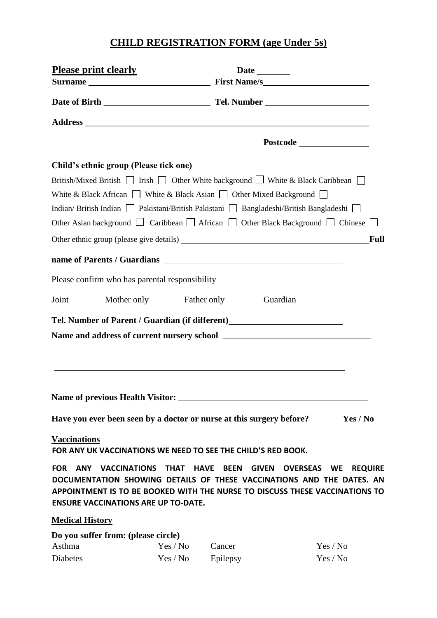## **CHILD REGISTRATION FORM (age Under 5s)**

|                          | Please print clearly                           |                                                                      |                                                                                                                     |                             |
|--------------------------|------------------------------------------------|----------------------------------------------------------------------|---------------------------------------------------------------------------------------------------------------------|-----------------------------|
|                          |                                                |                                                                      |                                                                                                                     |                             |
|                          |                                                |                                                                      |                                                                                                                     |                             |
|                          |                                                |                                                                      |                                                                                                                     |                             |
|                          |                                                |                                                                      |                                                                                                                     |                             |
|                          | Child's ethnic group (Please tick one)         |                                                                      |                                                                                                                     |                             |
|                          |                                                |                                                                      | British/Mixed British $\Box$ Irish $\Box$ Other White background $\Box$ White & Black Caribbean $\Box$              |                             |
|                          |                                                |                                                                      | White & Black African $\Box$ White & Black Asian $\Box$ Other Mixed Background $\Box$                               |                             |
|                          |                                                |                                                                      | Indian/British Indian   Pakistani/British Pakistani   Bangladeshi/British Bangladeshi                               |                             |
|                          |                                                |                                                                      | Other Asian background $\Box$ Caribbean $\Box$ African $\Box$ Other Black Background $\Box$ Chinese $\Box$          |                             |
|                          |                                                |                                                                      | Other ethnic group (please give details)                                                                            | <b>Full</b>                 |
|                          |                                                |                                                                      |                                                                                                                     |                             |
|                          | Please confirm who has parental responsibility |                                                                      |                                                                                                                     |                             |
| Joint                    |                                                | Mother only Father only                                              | Guardian                                                                                                            |                             |
|                          |                                                |                                                                      | Tel. Number of Parent / Guardian (if different)<br><u>Letter and the subset of Parent / Guardian (if different)</u> |                             |
|                          |                                                |                                                                      |                                                                                                                     |                             |
|                          |                                                |                                                                      |                                                                                                                     |                             |
|                          |                                                |                                                                      |                                                                                                                     |                             |
|                          |                                                |                                                                      |                                                                                                                     |                             |
|                          |                                                | Have you ever been seen by a doctor or nurse at this surgery before? |                                                                                                                     | Yes / No                    |
| <b>Vaccinations</b>      |                                                | FOR ANY UK VACCINATIONS WE NEED TO SEE THE CHILD'S RED BOOK.         |                                                                                                                     |                             |
| <b>FOR</b><br><b>ANY</b> | <b>VACCINATIONS</b>                            | <b>THAT</b><br><b>HAVE</b><br><b>BEEN</b>                            | <b>GIVEN</b><br><b>OVERSEAS</b>                                                                                     | <b>REQUIRE</b><br><b>WE</b> |

**DOCUMENTATION SHOWING DETAILS OF THESE VACCINATIONS AND THE DATES. AN APPOINTMENT IS TO BE BOOKED WITH THE NURSE TO DISCUSS THESE VACCINATIONS TO ENSURE VACCINATIONS ARE UP TO-DATE.** 

**Medical History**

| Do you suffer from: (please circle) |           |          |          |
|-------------------------------------|-----------|----------|----------|
| Asthma                              | Yes / No- | Cancer   | Yes / No |
| Diabetes                            | Yes / No  | Epilepsy | Yes / No |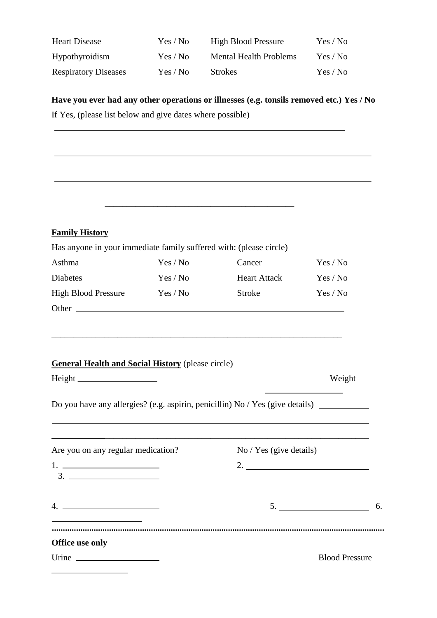| <b>Heart Disease</b>        | Yes / No | <b>High Blood Pressure</b>    | Yes / No |
|-----------------------------|----------|-------------------------------|----------|
| Hypothyroidism              | Yes / No | <b>Mental Health Problems</b> | Yes / No |
| <b>Respiratory Diseases</b> | Yes / No | <b>Strokes</b>                | Yes / No |

## **Have you ever had any other operations or illnesses (e.g. tonsils removed etc.) Yes / No**

If Yes, (please list below and give dates where possible)

| <b>Family History</b>                                                                                                |          |                     |                                                                          |
|----------------------------------------------------------------------------------------------------------------------|----------|---------------------|--------------------------------------------------------------------------|
| Has anyone in your immediate family suffered with: (please circle)                                                   |          |                     |                                                                          |
| Asthma                                                                                                               | Yes / No | Cancer              | Yes / No                                                                 |
| <b>Diabetes</b>                                                                                                      | Yes / No | <b>Heart Attack</b> | Yes / No                                                                 |
| <b>High Blood Pressure</b>                                                                                           | Yes / No | <b>Stroke</b>       | Yes / No                                                                 |
|                                                                                                                      |          |                     |                                                                          |
|                                                                                                                      |          |                     |                                                                          |
| <b>General Health and Social History (please circle)</b>                                                             |          |                     |                                                                          |
|                                                                                                                      |          |                     |                                                                          |
|                                                                                                                      |          |                     |                                                                          |
| Do you have any allergies? (e.g. aspirin, penicillin) No / Yes (give details)                                        |          |                     |                                                                          |
| Are you on any regular medication? No / Yes (give details)                                                           |          |                     | Weight                                                                   |
|                                                                                                                      |          |                     |                                                                          |
|                                                                                                                      |          |                     | $\begin{array}{c}\n5. \quad \textcolor{blue}{\textbf{5.2}}\n\end{array}$ |
| <u> 1989 - Johann Barbara, martin amerikan basar dan basar dalam basar dalam basar dalam basar dalam basar dalam</u> |          |                     |                                                                          |
|                                                                                                                      |          |                     |                                                                          |
| Office use only                                                                                                      |          |                     |                                                                          |
|                                                                                                                      |          |                     | <b>Blood Pressure</b>                                                    |